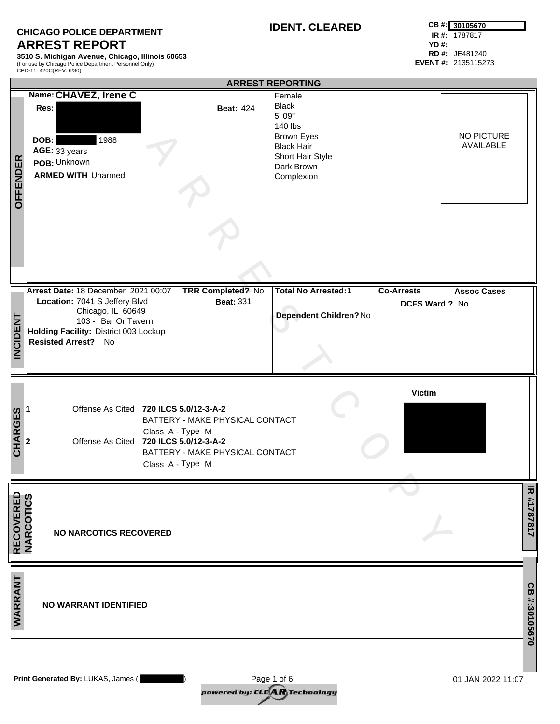## **CHICAGO POLICE DEPARTMENT ARREST REPORT**

**3510 S. Michigan Avenue, Chicago, Illinois 60653** (For use by Chicago Police Department Personnel Only) CPD-11. 420C(REV. 6/30)

**RD #:** JE481240 **EVENT #:** 2135115273

|                                | <b>ARREST REPORTING</b>                |                                 |                            |                                         |               |
|--------------------------------|----------------------------------------|---------------------------------|----------------------------|-----------------------------------------|---------------|
|                                | Name: CHAVEZ, Irene C                  |                                 | Female                     |                                         |               |
|                                | Res:                                   | <b>Beat: 424</b>                | <b>Black</b>               |                                         |               |
|                                |                                        |                                 | 5' 09"                     |                                         |               |
|                                |                                        |                                 | 140 lbs                    |                                         |               |
|                                |                                        |                                 | <b>Brown Eyes</b>          | NO PICTURE                              |               |
|                                | 1988<br>DOB:                           |                                 | <b>Black Hair</b>          | AVAILABLE                               |               |
|                                | AGE: 33 years                          |                                 | Short Hair Style           |                                         |               |
|                                | POB: Unknown                           |                                 | Dark Brown                 |                                         |               |
|                                | <b>ARMED WITH Unarmed</b>              |                                 | Complexion                 |                                         |               |
|                                |                                        |                                 |                            |                                         |               |
|                                |                                        |                                 |                            |                                         |               |
| <b>OFFENDER</b>                |                                        |                                 |                            |                                         |               |
|                                |                                        |                                 |                            |                                         |               |
|                                |                                        |                                 |                            |                                         |               |
|                                |                                        |                                 |                            |                                         |               |
|                                | Arrest Date: 18 December 2021 00:07    | <b>TRR Completed? No</b>        | <b>Total No Arrested:1</b> | <b>Co-Arrests</b><br><b>Assoc Cases</b> |               |
|                                | Location: 7041 S Jeffery Blvd          | <b>Beat: 331</b>                |                            | DCFS Ward ? No                          |               |
|                                | Chicago, IL 60649                      |                                 | Dependent Children? No     |                                         |               |
| <b>INCIDENT</b>                | 103 - Bar Or Tavern                    |                                 |                            |                                         |               |
|                                | Holding Facility: District 003 Lockup  |                                 |                            |                                         |               |
|                                | Resisted Arrest? No                    |                                 |                            |                                         |               |
|                                |                                        |                                 |                            |                                         |               |
|                                |                                        |                                 |                            |                                         |               |
|                                |                                        |                                 |                            |                                         |               |
|                                |                                        |                                 |                            |                                         |               |
|                                |                                        |                                 |                            | <b>Victim</b>                           |               |
|                                | Offense As Cited 720 ILCS 5.0/12-3-A-2 |                                 |                            |                                         |               |
|                                |                                        | BATTERY - MAKE PHYSICAL CONTACT |                            |                                         |               |
|                                |                                        | Class A - Type M                |                            |                                         |               |
|                                | Offense As Cited 720 ILCS 5.0/12-3-A-2 |                                 |                            |                                         |               |
| <b>CHARGES</b>                 |                                        | BATTERY - MAKE PHYSICAL CONTACT |                            |                                         |               |
|                                |                                        | Class A - Type M                |                            |                                         |               |
|                                |                                        |                                 |                            |                                         |               |
|                                |                                        |                                 |                            |                                         |               |
|                                |                                        |                                 |                            |                                         |               |
|                                |                                        |                                 |                            |                                         |               |
|                                | <b>NO NARCOTICS RECOVERED</b>          |                                 |                            |                                         | R #1787817    |
| <b>RECOVERED<br/>NARCOTICS</b> |                                        |                                 |                            |                                         |               |
|                                |                                        |                                 |                            |                                         |               |
|                                |                                        |                                 |                            |                                         |               |
|                                |                                        |                                 |                            |                                         |               |
|                                |                                        |                                 |                            |                                         |               |
|                                | <b>NO WARRANT IDENTIFIED</b>           |                                 |                            |                                         |               |
| WARRANT                        |                                        |                                 |                            |                                         |               |
|                                |                                        |                                 |                            |                                         |               |
|                                |                                        |                                 |                            |                                         | CB #:30105670 |
|                                |                                        |                                 |                            |                                         |               |

**Print Generated By:** LUKAS, James ( ) 01 JAN 2022 11:07 Page 1 of 6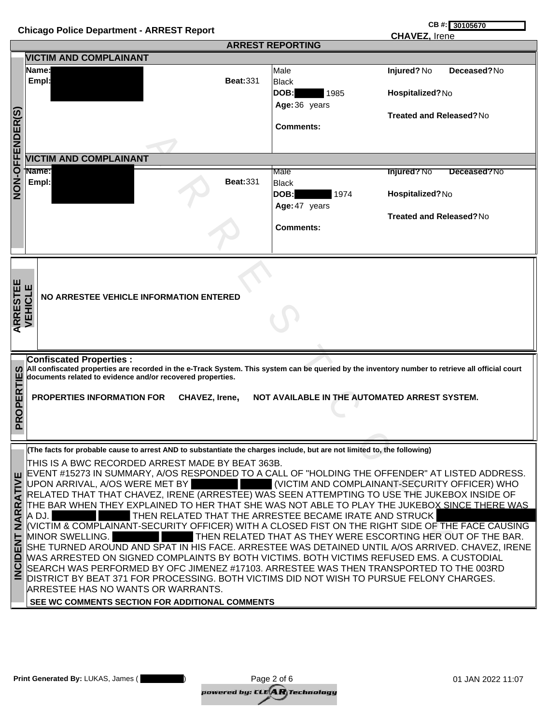| CB #: 30105670<br><b>Chicago Police Department - ARREST Report</b><br><b>CHAVEZ, Irene</b> |                                                                                                                                                                                                                                                                                                                                                                                                                                                                                                                                                                                                                                                                                                                                                                                                                                                                                                                                                                                                                                                                                                                                                                                       |                                                                           |                                                                                                               |  |  |  |
|--------------------------------------------------------------------------------------------|---------------------------------------------------------------------------------------------------------------------------------------------------------------------------------------------------------------------------------------------------------------------------------------------------------------------------------------------------------------------------------------------------------------------------------------------------------------------------------------------------------------------------------------------------------------------------------------------------------------------------------------------------------------------------------------------------------------------------------------------------------------------------------------------------------------------------------------------------------------------------------------------------------------------------------------------------------------------------------------------------------------------------------------------------------------------------------------------------------------------------------------------------------------------------------------|---------------------------------------------------------------------------|---------------------------------------------------------------------------------------------------------------|--|--|--|
|                                                                                            |                                                                                                                                                                                                                                                                                                                                                                                                                                                                                                                                                                                                                                                                                                                                                                                                                                                                                                                                                                                                                                                                                                                                                                                       | <b>ARREST REPORTING</b>                                                   |                                                                                                               |  |  |  |
|                                                                                            | <b>VICTIM AND COMPLAINANT</b>                                                                                                                                                                                                                                                                                                                                                                                                                                                                                                                                                                                                                                                                                                                                                                                                                                                                                                                                                                                                                                                                                                                                                         |                                                                           |                                                                                                               |  |  |  |
|                                                                                            | Name: <br><b>Beat: 331</b><br>Empl:                                                                                                                                                                                                                                                                                                                                                                                                                                                                                                                                                                                                                                                                                                                                                                                                                                                                                                                                                                                                                                                                                                                                                   | Male<br>Black<br><b>DOB:</b><br>1985<br>Age: 36 years<br><b>Comments:</b> | Injured? No<br>Deceased?No<br>Hospitalized?No<br><b>Treated and Released?No</b>                               |  |  |  |
| FFENDER(S)                                                                                 |                                                                                                                                                                                                                                                                                                                                                                                                                                                                                                                                                                                                                                                                                                                                                                                                                                                                                                                                                                                                                                                                                                                                                                                       |                                                                           |                                                                                                               |  |  |  |
|                                                                                            | <b>VICTIM AND COMPLAINANT</b>                                                                                                                                                                                                                                                                                                                                                                                                                                                                                                                                                                                                                                                                                                                                                                                                                                                                                                                                                                                                                                                                                                                                                         |                                                                           |                                                                                                               |  |  |  |
| O-NON                                                                                      | †Name:<br><b>Beat: 331</b><br>Empl:                                                                                                                                                                                                                                                                                                                                                                                                                                                                                                                                                                                                                                                                                                                                                                                                                                                                                                                                                                                                                                                                                                                                                   | Male<br>Black<br>DOB:<br>1974<br>Age: 47 years                            | <b>Injured?</b> No<br>Deceased?No<br>Hospitalized?No                                                          |  |  |  |
|                                                                                            |                                                                                                                                                                                                                                                                                                                                                                                                                                                                                                                                                                                                                                                                                                                                                                                                                                                                                                                                                                                                                                                                                                                                                                                       | <b>Comments:</b>                                                          | Treated and Released?No                                                                                       |  |  |  |
|                                                                                            | <b>ARRESTEE</b><br>VEHICLE<br>NO ARRESTEE VEHICLE INFORMATION ENTERED                                                                                                                                                                                                                                                                                                                                                                                                                                                                                                                                                                                                                                                                                                                                                                                                                                                                                                                                                                                                                                                                                                                 |                                                                           |                                                                                                               |  |  |  |
| ທ<br>PROPERTIE                                                                             | <b>Confiscated Properties:</b><br>All confiscated properties are recorded in the e-Track System. This system can be queried by the inventory number to retrieve all official court<br>documents related to evidence and/or recovered properties.<br><b>PROPERTIES INFORMATION FOR</b><br>CHAVEZ, Irene,                                                                                                                                                                                                                                                                                                                                                                                                                                                                                                                                                                                                                                                                                                                                                                                                                                                                               | NOT AVAILABLE IN THE AUTOMATED ARREST SYSTEM.                             |                                                                                                               |  |  |  |
| <b>RATIVE</b><br>NARI<br><b>ENT</b><br><b>INCID</b>                                        | (The facts for probable cause to arrest AND to substantiate the charges include, but are not limited to, the following)<br>THIS IS A BWC RECORDED ARREST MADE BY BEAT 363B.<br>EVENT #15273 IN SUMMARY, A/OS RESPONDED TO A CALL OF "HOLDING THE OFFENDER" AT LISTED ADDRESS.<br>UPON ARRIVAL, A/OS WERE MET BY<br>RELATED THAT THAT CHAVEZ, IRENE (ARRESTEE) WAS SEEN ATTEMPTING TO USE THE JUKEBOX INSIDE OF<br>THE BAR WHEN THEY EXPLAINED TO HER THAT SHE WAS NOT ABLE TO PLAY THE JUKEBOX SINCE THERE WAS<br>THEN RELATED THAT THE ARRESTEE BECAME IRATE AND STRUCK<br>A DJ.<br>VICTIM & COMPLAINANT-SECURITY OFFICER) WITH A CLOSED FIST ON THE RIGHT SIDE OF THE FACE CAUSING<br>MINOR SWELLING.<br>SHE TURNED AROUND AND SPAT IN HIS FACE. ARRESTEE WAS DETAINED UNTIL A/OS ARRIVED. CHAVEZ, IRENE<br>WAS ARRESTED ON SIGNED COMPLAINTS BY BOTH VICTIMS. BOTH VICTIMS REFUSED EMS. A CUSTODIAL<br>SEARCH WAS PERFORMED BY OFC JIMENEZ #17103. ARRESTEE WAS THEN TRANSPORTED TO THE 003RD<br>DISTRICT BY BEAT 371 FOR PROCESSING. BOTH VICTIMS DID NOT WISH TO PURSUE FELONY CHARGES.<br>ARRESTEE HAS NO WANTS OR WARRANTS.<br>SEE WC COMMENTS SECTION FOR ADDITIONAL COMMENTS |                                                                           | (VICTIM AND COMPLAINANT-SECURITY OFFICER) WHO<br>THEN RELATED THAT AS THEY WERE ESCORTING HER OUT OF THE BAR. |  |  |  |

| Print Generated By: LUKAS, James ( | Page 2 of 6                                                                 | 01 JAN 2022 11:07 |
|------------------------------------|-----------------------------------------------------------------------------|-------------------|
|                                    | powered by: CLE $\left\langle \mathbf{A}\mathbf{R}\right\rangle$ Technology |                   |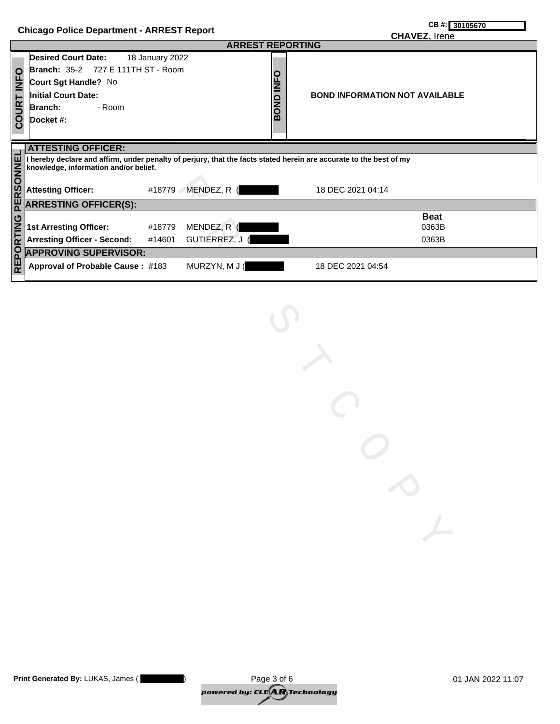|                                                  | CB #: 30105670      |
|--------------------------------------------------|---------------------|
| <b>Chicago Police Department - ARREST Report</b> | $\bigcap_{i=1}^{n}$ |

|                     | $S$ and $S$ and $S$ is the contract of $S$ and $S$ and $S$ and $S$ and $S$ are $S$ and $S$ are $S$ and $S$ are $S$ and $S$ are $S$ and $S$ are $S$ and $S$ are $S$ are $S$ and $S$ are $S$ are $S$ and $S$ are $S$ are $S$ ar |                 |                  | <b>CHAVEZ, Irene</b>                                                                                               |  |
|---------------------|-------------------------------------------------------------------------------------------------------------------------------------------------------------------------------------------------------------------------------|-----------------|------------------|--------------------------------------------------------------------------------------------------------------------|--|
|                     | <b>ARREST REPORTING</b>                                                                                                                                                                                                       |                 |                  |                                                                                                                    |  |
|                     | <b>Desired Court Date:</b>                                                                                                                                                                                                    | 18 January 2022 |                  |                                                                                                                    |  |
|                     | <b>Branch: 35-2 727 E 111TH ST - Room</b>                                                                                                                                                                                     |                 |                  |                                                                                                                    |  |
| COURT INFO          | Court Sgt Handle? No                                                                                                                                                                                                          |                 | <b>BOND INFO</b> |                                                                                                                    |  |
|                     | <b>Initial Court Date:</b>                                                                                                                                                                                                    |                 |                  | <b>BOND INFORMATION NOT AVAILABLE</b>                                                                              |  |
|                     | Branch:<br>- Room                                                                                                                                                                                                             |                 |                  |                                                                                                                    |  |
|                     | Docket #:                                                                                                                                                                                                                     |                 |                  |                                                                                                                    |  |
|                     |                                                                                                                                                                                                                               |                 |                  |                                                                                                                    |  |
|                     | <b>ATTESTING OFFICER:</b>                                                                                                                                                                                                     |                 |                  |                                                                                                                    |  |
|                     |                                                                                                                                                                                                                               |                 |                  | I hereby declare and affirm, under penalty of perjury, that the facts stated herein are accurate to the best of my |  |
|                     | knowledge, information and/or belief.                                                                                                                                                                                         |                 |                  |                                                                                                                    |  |
|                     |                                                                                                                                                                                                                               |                 |                  |                                                                                                                    |  |
|                     | Attesting Officer:                                                                                                                                                                                                            | #18779          | MENDEZ, R (      | 18 DEC 2021 04:14                                                                                                  |  |
|                     | <b>ARRESTING OFFICER(S):</b>                                                                                                                                                                                                  |                 |                  |                                                                                                                    |  |
|                     |                                                                                                                                                                                                                               |                 |                  | <b>Beat</b>                                                                                                        |  |
|                     | <b>1st Arresting Officer:</b>                                                                                                                                                                                                 | #18779          | MENDEZ, R (      | 0363B                                                                                                              |  |
|                     | <b>Arresting Officer - Second:</b>                                                                                                                                                                                            | #14601          | GUTIERREZ, J (   | 0363B                                                                                                              |  |
|                     | <b>APPROVING SUPERVISOR:</b>                                                                                                                                                                                                  |                 |                  |                                                                                                                    |  |
| REPORTING PERSONNEL | Approval of Probable Cause: #183                                                                                                                                                                                              |                 | MURZYN, M J (    | 18 DEC 2021 04:54                                                                                                  |  |
|                     |                                                                                                                                                                                                                               |                 |                  |                                                                                                                    |  |
|                     |                                                                                                                                                                                                                               |                 |                  |                                                                                                                    |  |
|                     |                                                                                                                                                                                                                               |                 |                  |                                                                                                                    |  |
|                     |                                                                                                                                                                                                                               |                 |                  |                                                                                                                    |  |
|                     |                                                                                                                                                                                                                               |                 |                  |                                                                                                                    |  |
|                     |                                                                                                                                                                                                                               |                 |                  |                                                                                                                    |  |
|                     |                                                                                                                                                                                                                               |                 |                  |                                                                                                                    |  |
|                     |                                                                                                                                                                                                                               |                 |                  |                                                                                                                    |  |
|                     |                                                                                                                                                                                                                               |                 |                  |                                                                                                                    |  |
|                     |                                                                                                                                                                                                                               |                 |                  |                                                                                                                    |  |
|                     |                                                                                                                                                                                                                               |                 |                  |                                                                                                                    |  |
|                     |                                                                                                                                                                                                                               |                 |                  |                                                                                                                    |  |
|                     |                                                                                                                                                                                                                               |                 |                  |                                                                                                                    |  |
|                     |                                                                                                                                                                                                                               |                 |                  |                                                                                                                    |  |
|                     |                                                                                                                                                                                                                               |                 |                  |                                                                                                                    |  |
|                     |                                                                                                                                                                                                                               |                 |                  |                                                                                                                    |  |
|                     |                                                                                                                                                                                                                               |                 |                  |                                                                                                                    |  |
|                     |                                                                                                                                                                                                                               |                 |                  |                                                                                                                    |  |
|                     |                                                                                                                                                                                                                               |                 |                  |                                                                                                                    |  |
|                     |                                                                                                                                                                                                                               |                 |                  |                                                                                                                    |  |
|                     |                                                                                                                                                                                                                               |                 |                  | $\sum_{i=1}^{n}$                                                                                                   |  |
|                     |                                                                                                                                                                                                                               |                 |                  |                                                                                                                    |  |

| Print Generated By: LUKAS, James ( | Page 3 of 6                                         | 01 JAN 2022 11:07 |
|------------------------------------|-----------------------------------------------------|-------------------|
|                                    | powered by: CLE $(\mathbf{A}\mathbf{R})$ Technology |                   |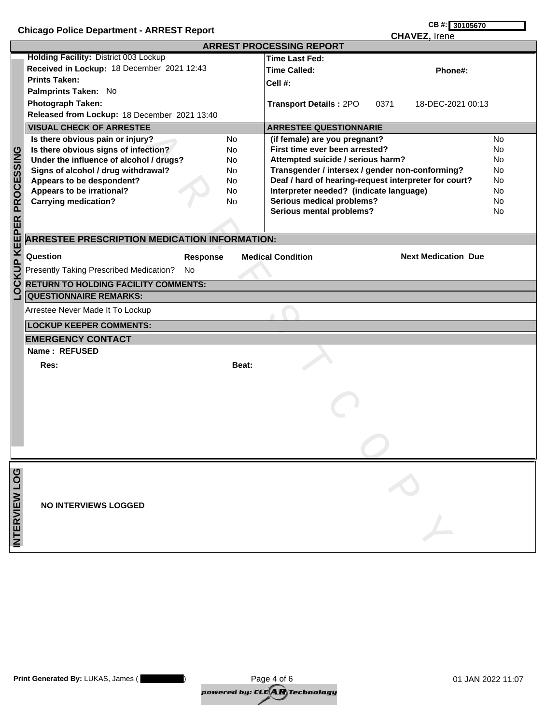| <b>Chicago Police Department - ARREST Report</b> |                                                                                                                                                                                                                                                                                                                                                                                                                                                                                                                                                                      | CB #: 30105670 |                                                                                                                                                                                                                                                                                                                                                                                                                                                                                                                          |                                                             |
|--------------------------------------------------|----------------------------------------------------------------------------------------------------------------------------------------------------------------------------------------------------------------------------------------------------------------------------------------------------------------------------------------------------------------------------------------------------------------------------------------------------------------------------------------------------------------------------------------------------------------------|----------------|--------------------------------------------------------------------------------------------------------------------------------------------------------------------------------------------------------------------------------------------------------------------------------------------------------------------------------------------------------------------------------------------------------------------------------------------------------------------------------------------------------------------------|-------------------------------------------------------------|
|                                                  |                                                                                                                                                                                                                                                                                                                                                                                                                                                                                                                                                                      |                |                                                                                                                                                                                                                                                                                                                                                                                                                                                                                                                          |                                                             |
| LOCKUP KEEPER PROCESSING                         | Holding Facility: District 003 Lockup<br>Received in Lockup: 18 December 2021 12:43<br><b>Prints Taken:</b><br>Palmprints Taken: No<br><b>Photograph Taken:</b><br>Released from Lockup: 18 December 2021 13:40<br><b>VISUAL CHECK OF ARRESTEE</b><br>Is there obvious pain or injury?<br><b>No</b><br>Is there obvious signs of infection?<br><b>No</b><br>Under the influence of alcohol / drugs?<br>No.<br>Signs of alcohol / drug withdrawal?<br>No.<br>Appears to be despondent?<br>No.<br>Appears to be irrational?<br>No<br><b>Carrying medication?</b><br>No |                | <b>CHAVEZ, Irene</b><br><b>ARREST PROCESSING REPORT</b><br><b>Time Last Fed:</b><br><b>Time Called:</b><br>Phone#:<br>Cell #:<br><b>Transport Details: 2PO</b><br>0371<br>18-DEC-2021 00:13<br><b>ARRESTEE QUESTIONNARIE</b><br>(if female) are you pregnant?<br>First time ever been arrested?<br>Attempted suicide / serious harm?<br>Transgender / intersex / gender non-conforming?<br>Deaf / hard of hearing-request interpreter for court?<br>Interpreter needed? (indicate language)<br>Serious medical problems? | <b>No</b><br><b>No</b><br>No<br>No<br>No<br><b>No</b><br>No |
|                                                  |                                                                                                                                                                                                                                                                                                                                                                                                                                                                                                                                                                      |                | Serious mental problems?                                                                                                                                                                                                                                                                                                                                                                                                                                                                                                 | No.                                                         |
|                                                  | <b>ARRESTEE PRESCRIPTION MEDICATION INFORMATION:</b>                                                                                                                                                                                                                                                                                                                                                                                                                                                                                                                 |                |                                                                                                                                                                                                                                                                                                                                                                                                                                                                                                                          |                                                             |
|                                                  | Question<br><b>Response</b>                                                                                                                                                                                                                                                                                                                                                                                                                                                                                                                                          |                | <b>Next Medication Due</b><br><b>Medical Condition</b>                                                                                                                                                                                                                                                                                                                                                                                                                                                                   |                                                             |
|                                                  | Presently Taking Prescribed Medication?<br>No                                                                                                                                                                                                                                                                                                                                                                                                                                                                                                                        |                |                                                                                                                                                                                                                                                                                                                                                                                                                                                                                                                          |                                                             |
|                                                  | <b>RETURN TO HOLDING FACILITY COMMENTS:</b>                                                                                                                                                                                                                                                                                                                                                                                                                                                                                                                          |                |                                                                                                                                                                                                                                                                                                                                                                                                                                                                                                                          |                                                             |
|                                                  | <b>QUESTIONNAIRE REMARKS:</b>                                                                                                                                                                                                                                                                                                                                                                                                                                                                                                                                        |                |                                                                                                                                                                                                                                                                                                                                                                                                                                                                                                                          |                                                             |
|                                                  | Arrestee Never Made It To Lockup                                                                                                                                                                                                                                                                                                                                                                                                                                                                                                                                     |                |                                                                                                                                                                                                                                                                                                                                                                                                                                                                                                                          |                                                             |
|                                                  | <b>LOCKUP KEEPER COMMENTS:</b>                                                                                                                                                                                                                                                                                                                                                                                                                                                                                                                                       |                |                                                                                                                                                                                                                                                                                                                                                                                                                                                                                                                          |                                                             |
|                                                  | <b>EMERGENCY CONTACT</b>                                                                                                                                                                                                                                                                                                                                                                                                                                                                                                                                             |                |                                                                                                                                                                                                                                                                                                                                                                                                                                                                                                                          |                                                             |
|                                                  | Name: REFUSED                                                                                                                                                                                                                                                                                                                                                                                                                                                                                                                                                        |                |                                                                                                                                                                                                                                                                                                                                                                                                                                                                                                                          |                                                             |
|                                                  | Res:                                                                                                                                                                                                                                                                                                                                                                                                                                                                                                                                                                 | Beat:          |                                                                                                                                                                                                                                                                                                                                                                                                                                                                                                                          |                                                             |
|                                                  |                                                                                                                                                                                                                                                                                                                                                                                                                                                                                                                                                                      |                |                                                                                                                                                                                                                                                                                                                                                                                                                                                                                                                          |                                                             |
|                                                  |                                                                                                                                                                                                                                                                                                                                                                                                                                                                                                                                                                      |                |                                                                                                                                                                                                                                                                                                                                                                                                                                                                                                                          |                                                             |
|                                                  |                                                                                                                                                                                                                                                                                                                                                                                                                                                                                                                                                                      |                |                                                                                                                                                                                                                                                                                                                                                                                                                                                                                                                          |                                                             |
| INTERVIEW LOG                                    | <b>NO INTERVIEWS LOGGED</b>                                                                                                                                                                                                                                                                                                                                                                                                                                                                                                                                          |                |                                                                                                                                                                                                                                                                                                                                                                                                                                                                                                                          |                                                             |
|                                                  |                                                                                                                                                                                                                                                                                                                                                                                                                                                                                                                                                                      |                |                                                                                                                                                                                                                                                                                                                                                                                                                                                                                                                          |                                                             |

| Print Generated By: LUKAS, James ( | Page 4 of 6                                             | 01 JAN 2022 11:07 |
|------------------------------------|---------------------------------------------------------|-------------------|
|                                    | powered by: CLE $(\!\mathbf{A}\mathbf{R}\!)$ Technology |                   |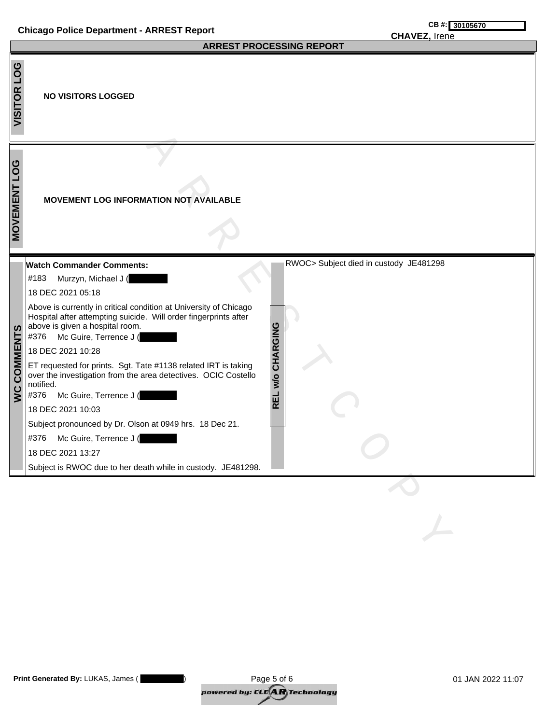## **Chicago Police Department - ARREST Report CHECAL CONSIDENT CONSIDENT CARGES**

## **CHAVEZ,** Irene

|                       | <b>ARREST PROCESSING REPORT</b>                                                                                                                                                                         |  |  |  |  |
|-----------------------|---------------------------------------------------------------------------------------------------------------------------------------------------------------------------------------------------------|--|--|--|--|
| <b>PO1</b><br>VISITOR | <b>NO VISITORS LOGGED</b>                                                                                                                                                                               |  |  |  |  |
| <b>MOVEMENT LOG</b>   | <b>MOVEMENT LOG INFORMATION NOT AVAILABLE</b>                                                                                                                                                           |  |  |  |  |
|                       | RWOC> Subject died in custody JE481298<br><b>Watch Commander Comments:</b>                                                                                                                              |  |  |  |  |
|                       | #183<br>Murzyn, Michael J (                                                                                                                                                                             |  |  |  |  |
|                       | 18 DEC 2021 05:18                                                                                                                                                                                       |  |  |  |  |
|                       | Above is currently in critical condition at University of Chicago<br>Hospital after attempting suicide. Will order fingerprints after<br>above is given a hospital room.<br>#376 Mc Guire, Terrence J ( |  |  |  |  |
|                       | 18 DEC 2021 10:28                                                                                                                                                                                       |  |  |  |  |
| <b>WC COMMENTS</b>    | REL W/O CHARGING<br>ET requested for prints. Sgt. Tate #1138 related IRT is taking<br>over the investigation from the area detectives. OCIC Costello<br>notified.<br>Mc Guire, Terrence J (<br>#376     |  |  |  |  |
|                       | 18 DEC 2021 10:03                                                                                                                                                                                       |  |  |  |  |
|                       | Subject pronounced by Dr. Olson at 0949 hrs. 18 Dec 21.                                                                                                                                                 |  |  |  |  |
|                       | Mc Guire, Terrence J (<br>#376                                                                                                                                                                          |  |  |  |  |
|                       | 18 DEC 2021 13:27                                                                                                                                                                                       |  |  |  |  |
|                       | Subject is RWOC due to her death while in custody. JE481298.                                                                                                                                            |  |  |  |  |
|                       |                                                                                                                                                                                                         |  |  |  |  |
|                       |                                                                                                                                                                                                         |  |  |  |  |
|                       |                                                                                                                                                                                                         |  |  |  |  |
|                       |                                                                                                                                                                                                         |  |  |  |  |

| Print Generated By: LUKAS, James ( | Page 5 of 6                                                                 | 01 JAN 2022 11:07 |
|------------------------------------|-----------------------------------------------------------------------------|-------------------|
|                                    | powered by: CLE $\left\langle \mathbf{A}\mathbf{R}\right\rangle$ Technology |                   |